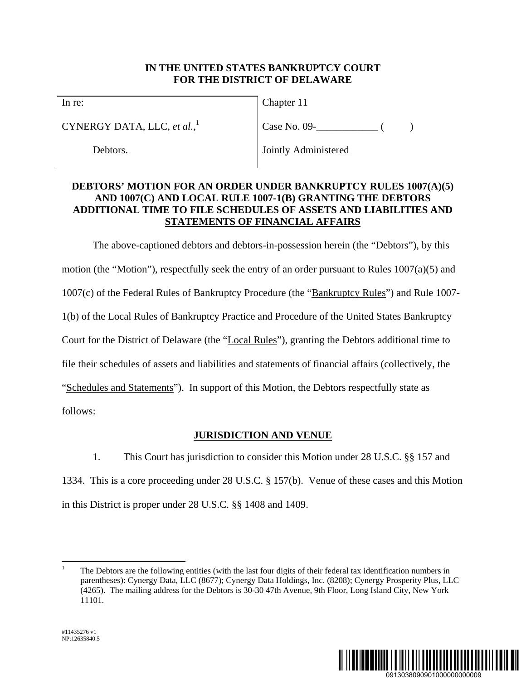### **IN THE UNITED STATES BANKRUPTCY COURT FOR THE DISTRICT OF DELAWARE**

In re:

CYNERGY DATA, LLC, *et al.*, 1

Debtors.

Chapter 11

 $Case No. 09 -$  ( )

Jointly Administered

## **DEBTORS' MOTION FOR AN ORDER UNDER BANKRUPTCY RULES 1007(A)(5) AND 1007(C) AND LOCAL RULE 1007-1(B) GRANTING THE DEBTORS ADDITIONAL TIME TO FILE SCHEDULES OF ASSETS AND LIABILITIES AND STATEMENTS OF FINANCIAL AFFAIRS**

The above-captioned debtors and debtors-in-possession herein (the "Debtors"), by this motion (the "Motion"), respectfully seek the entry of an order pursuant to Rules 1007(a)(5) and 1007(c) of the Federal Rules of Bankruptcy Procedure (the "Bankruptcy Rules") and Rule 1007- 1(b) of the Local Rules of Bankruptcy Practice and Procedure of the United States Bankruptcy Court for the District of Delaware (the "Local Rules"), granting the Debtors additional time to file their schedules of assets and liabilities and statements of financial affairs (collectively, the "Schedules and Statements"). In support of this Motion, the Debtors respectfully state as follows:

# **JURISDICTION AND VENUE**

1. This Court has jurisdiction to consider this Motion under 28 U.S.C. §§ 157 and 1334. This is a core proceeding under 28 U.S.C. § 157(b). Venue of these cases and this Motion in this District is proper under 28 U.S.C. §§ 1408 and 1409.



 $\overline{a}$ 1 The Debtors are the following entities (with the last four digits of their federal tax identification numbers in parentheses): Cynergy Data, LLC (8677); Cynergy Data Holdings, Inc. (8208); Cynergy Prosperity Plus, LLC (4265). The mailing address for the Debtors is 30-30 47th Avenue, 9th Floor, Long Island City, New York 11101.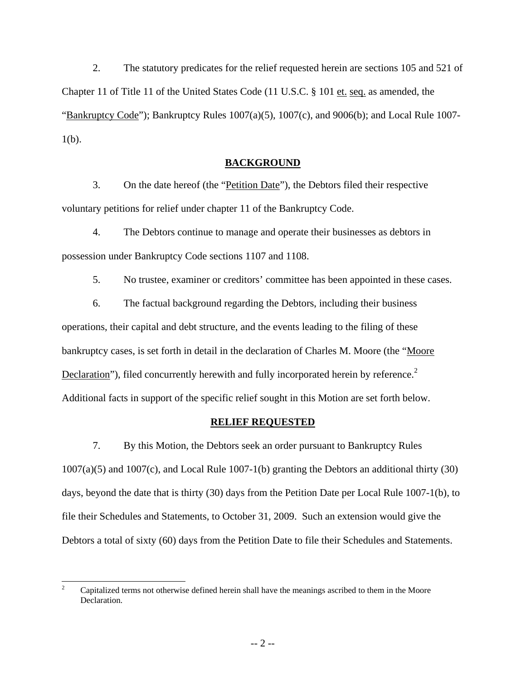2. The statutory predicates for the relief requested herein are sections 105 and 521 of Chapter 11 of Title 11 of the United States Code (11 U.S.C. § 101 et. seq. as amended, the "Bankruptcy Code"); Bankruptcy Rules 1007(a)(5), 1007(c), and 9006(b); and Local Rule 1007-  $1(b)$ .

### **BACKGROUND**

3. On the date hereof (the "Petition Date"), the Debtors filed their respective voluntary petitions for relief under chapter 11 of the Bankruptcy Code.

4. The Debtors continue to manage and operate their businesses as debtors in possession under Bankruptcy Code sections 1107 and 1108.

5. No trustee, examiner or creditors' committee has been appointed in these cases.

6. The factual background regarding the Debtors, including their business operations, their capital and debt structure, and the events leading to the filing of these bankruptcy cases, is set forth in detail in the declaration of Charles M. Moore (the "Moore Declaration"), filed concurrently herewith and fully incorporated herein by reference.<sup>2</sup> Additional facts in support of the specific relief sought in this Motion are set forth below.

#### **RELIEF REQUESTED**

7. By this Motion, the Debtors seek an order pursuant to Bankruptcy Rules 1007(a)(5) and 1007(c), and Local Rule 1007-1(b) granting the Debtors an additional thirty (30) days, beyond the date that is thirty (30) days from the Petition Date per Local Rule 1007-1(b), to file their Schedules and Statements, to October 31, 2009. Such an extension would give the Debtors a total of sixty (60) days from the Petition Date to file their Schedules and Statements.

 $\frac{1}{2}$  Capitalized terms not otherwise defined herein shall have the meanings ascribed to them in the Moore Declaration.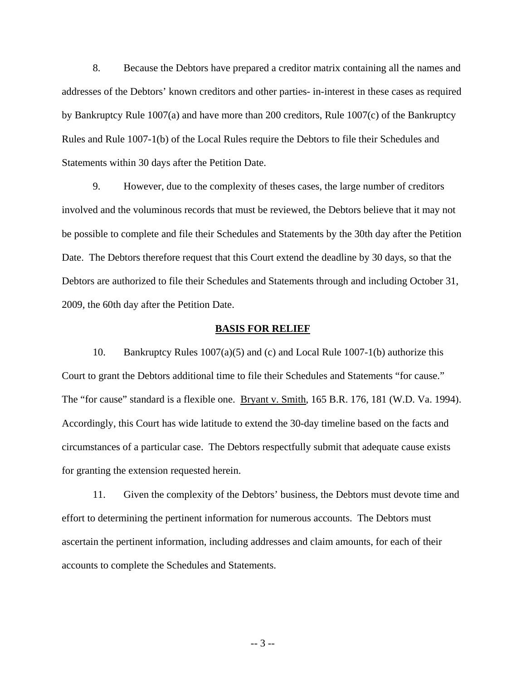8. Because the Debtors have prepared a creditor matrix containing all the names and addresses of the Debtors' known creditors and other parties- in-interest in these cases as required by Bankruptcy Rule 1007(a) and have more than 200 creditors, Rule 1007(c) of the Bankruptcy Rules and Rule 1007-1(b) of the Local Rules require the Debtors to file their Schedules and Statements within 30 days after the Petition Date.

9. However, due to the complexity of theses cases, the large number of creditors involved and the voluminous records that must be reviewed, the Debtors believe that it may not be possible to complete and file their Schedules and Statements by the 30th day after the Petition Date. The Debtors therefore request that this Court extend the deadline by 30 days, so that the Debtors are authorized to file their Schedules and Statements through and including October 31, 2009, the 60th day after the Petition Date.

#### **BASIS FOR RELIEF**

10. Bankruptcy Rules 1007(a)(5) and (c) and Local Rule 1007-1(b) authorize this Court to grant the Debtors additional time to file their Schedules and Statements "for cause." The "for cause" standard is a flexible one. Bryant v. Smith, 165 B.R. 176, 181 (W.D. Va. 1994). Accordingly, this Court has wide latitude to extend the 30-day timeline based on the facts and circumstances of a particular case. The Debtors respectfully submit that adequate cause exists for granting the extension requested herein.

11. Given the complexity of the Debtors' business, the Debtors must devote time and effort to determining the pertinent information for numerous accounts. The Debtors must ascertain the pertinent information, including addresses and claim amounts, for each of their accounts to complete the Schedules and Statements.

-- 3 --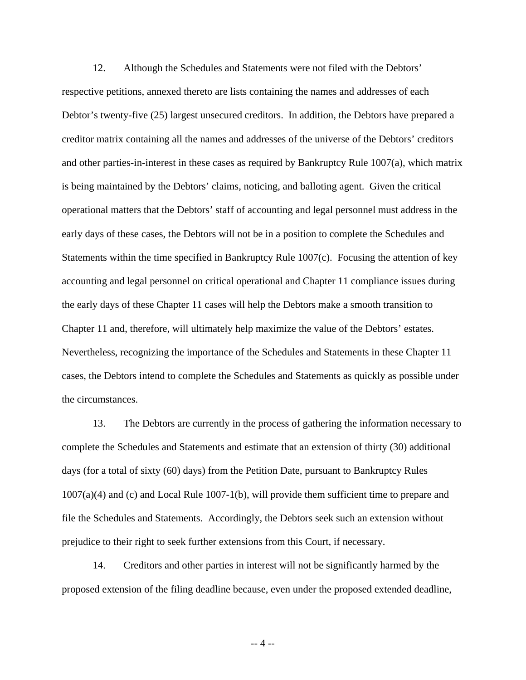12. Although the Schedules and Statements were not filed with the Debtors' respective petitions, annexed thereto are lists containing the names and addresses of each Debtor's twenty-five (25) largest unsecured creditors. In addition, the Debtors have prepared a creditor matrix containing all the names and addresses of the universe of the Debtors' creditors and other parties-in-interest in these cases as required by Bankruptcy Rule 1007(a), which matrix is being maintained by the Debtors' claims, noticing, and balloting agent. Given the critical operational matters that the Debtors' staff of accounting and legal personnel must address in the early days of these cases, the Debtors will not be in a position to complete the Schedules and Statements within the time specified in Bankruptcy Rule  $1007(c)$ . Focusing the attention of key accounting and legal personnel on critical operational and Chapter 11 compliance issues during the early days of these Chapter 11 cases will help the Debtors make a smooth transition to Chapter 11 and, therefore, will ultimately help maximize the value of the Debtors' estates. Nevertheless, recognizing the importance of the Schedules and Statements in these Chapter 11 cases, the Debtors intend to complete the Schedules and Statements as quickly as possible under the circumstances.

13. The Debtors are currently in the process of gathering the information necessary to complete the Schedules and Statements and estimate that an extension of thirty (30) additional days (for a total of sixty (60) days) from the Petition Date, pursuant to Bankruptcy Rules 1007(a)(4) and (c) and Local Rule 1007-1(b), will provide them sufficient time to prepare and file the Schedules and Statements. Accordingly, the Debtors seek such an extension without prejudice to their right to seek further extensions from this Court, if necessary.

14. Creditors and other parties in interest will not be significantly harmed by the proposed extension of the filing deadline because, even under the proposed extended deadline,

-- 4 --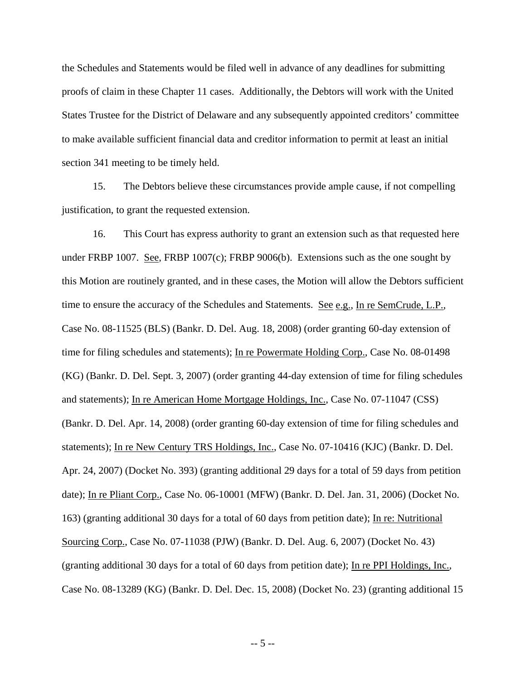the Schedules and Statements would be filed well in advance of any deadlines for submitting proofs of claim in these Chapter 11 cases. Additionally, the Debtors will work with the United States Trustee for the District of Delaware and any subsequently appointed creditors' committee to make available sufficient financial data and creditor information to permit at least an initial section 341 meeting to be timely held.

15. The Debtors believe these circumstances provide ample cause, if not compelling justification, to grant the requested extension.

16. This Court has express authority to grant an extension such as that requested here under FRBP 1007. See, FRBP 1007(c); FRBP 9006(b). Extensions such as the one sought by this Motion are routinely granted, and in these cases, the Motion will allow the Debtors sufficient time to ensure the accuracy of the Schedules and Statements. See e.g., In re SemCrude, L.P., Case No. 08-11525 (BLS) (Bankr. D. Del. Aug. 18, 2008) (order granting 60-day extension of time for filing schedules and statements); In re Powermate Holding Corp., Case No. 08-01498 (KG) (Bankr. D. Del. Sept. 3, 2007) (order granting 44-day extension of time for filing schedules and statements); In re American Home Mortgage Holdings, Inc., Case No. 07-11047 (CSS) (Bankr. D. Del. Apr. 14, 2008) (order granting 60-day extension of time for filing schedules and statements); In re New Century TRS Holdings, Inc., Case No. 07-10416 (KJC) (Bankr. D. Del. Apr. 24, 2007) (Docket No. 393) (granting additional 29 days for a total of 59 days from petition date); In re Pliant Corp., Case No. 06-10001 (MFW) (Bankr. D. Del. Jan. 31, 2006) (Docket No. 163) (granting additional 30 days for a total of 60 days from petition date); In re: Nutritional Sourcing Corp., Case No. 07-11038 (PJW) (Bankr. D. Del. Aug. 6, 2007) (Docket No. 43) (granting additional 30 days for a total of 60 days from petition date); In re PPI Holdings, Inc., Case No. 08-13289 (KG) (Bankr. D. Del. Dec. 15, 2008) (Docket No. 23) (granting additional 15

-- 5 --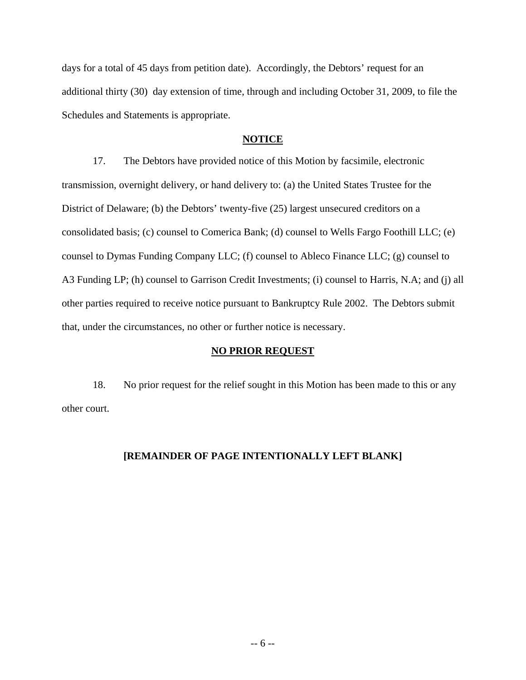days for a total of 45 days from petition date). Accordingly, the Debtors' request for an additional thirty (30) day extension of time, through and including October 31, 2009, to file the Schedules and Statements is appropriate.

### **NOTICE**

17. The Debtors have provided notice of this Motion by facsimile, electronic transmission, overnight delivery, or hand delivery to: (a) the United States Trustee for the District of Delaware; (b) the Debtors' twenty-five (25) largest unsecured creditors on a consolidated basis; (c) counsel to Comerica Bank; (d) counsel to Wells Fargo Foothill LLC; (e) counsel to Dymas Funding Company LLC; (f) counsel to Ableco Finance LLC; (g) counsel to A3 Funding LP; (h) counsel to Garrison Credit Investments; (i) counsel to Harris, N.A; and (j) all other parties required to receive notice pursuant to Bankruptcy Rule 2002. The Debtors submit that, under the circumstances, no other or further notice is necessary.

#### **NO PRIOR REQUEST**

18. No prior request for the relief sought in this Motion has been made to this or any other court.

### **[REMAINDER OF PAGE INTENTIONALLY LEFT BLANK]**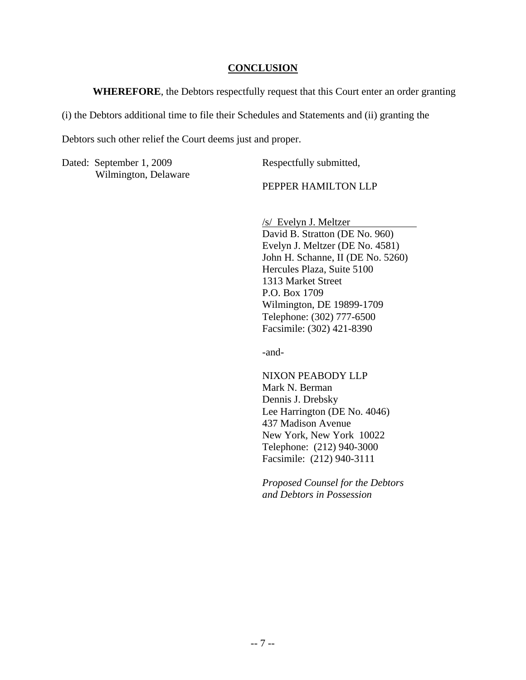#### **CONCLUSION**

**WHEREFORE**, the Debtors respectfully request that this Court enter an order granting

(i) the Debtors additional time to file their Schedules and Statements and (ii) granting the

Debtors such other relief the Court deems just and proper.

Dated: September 1, 2009 Wilmington, Delaware Respectfully submitted,

PEPPER HAMILTON LLP

/s/ Evelyn J. Meltzer David B. Stratton (DE No. 960) Evelyn J. Meltzer (DE No. 4581) John H. Schanne, II (DE No. 5260) Hercules Plaza, Suite 5100 1313 Market Street P.O. Box 1709 Wilmington, DE 19899-1709 Telephone: (302) 777-6500 Facsimile: (302) 421-8390

-and-

NIXON PEABODY LLP Mark N. Berman Dennis J. Drebsky Lee Harrington (DE No. 4046) 437 Madison Avenue New York, New York 10022 Telephone: (212) 940-3000 Facsimile: (212) 940-3111

*Proposed Counsel for the Debtors and Debtors in Possession*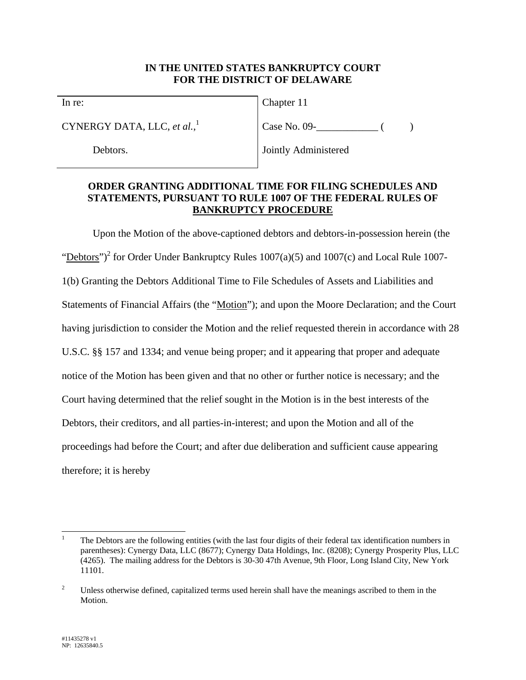### **IN THE UNITED STATES BANKRUPTCY COURT FOR THE DISTRICT OF DELAWARE**

In re:

CYNERGY DATA, LLC, *et al.*, 1

Debtors.

Chapter 11

Case No. 09- ( )

Jointly Administered

### **ORDER GRANTING ADDITIONAL TIME FOR FILING SCHEDULES AND STATEMENTS, PURSUANT TO RULE 1007 OF THE FEDERAL RULES OF BANKRUPTCY PROCEDURE**

Upon the Motion of the above-captioned debtors and debtors-in-possession herein (the "Debtors")<sup>2</sup> for Order Under Bankruptcy Rules  $1007(a)(5)$  and  $1007(c)$  and Local Rule 1007-1(b) Granting the Debtors Additional Time to File Schedules of Assets and Liabilities and Statements of Financial Affairs (the "Motion"); and upon the Moore Declaration; and the Court having jurisdiction to consider the Motion and the relief requested therein in accordance with 28 U.S.C. §§ 157 and 1334; and venue being proper; and it appearing that proper and adequate notice of the Motion has been given and that no other or further notice is necessary; and the Court having determined that the relief sought in the Motion is in the best interests of the Debtors, their creditors, and all parties-in-interest; and upon the Motion and all of the proceedings had before the Court; and after due deliberation and sufficient cause appearing therefore; it is hereby

 $\overline{\phantom{a}}$ 1 The Debtors are the following entities (with the last four digits of their federal tax identification numbers in parentheses): Cynergy Data, LLC (8677); Cynergy Data Holdings, Inc. (8208); Cynergy Prosperity Plus, LLC (4265). The mailing address for the Debtors is 30-30 47th Avenue, 9th Floor, Long Island City, New York 11101.

<sup>2</sup> Unless otherwise defined, capitalized terms used herein shall have the meanings ascribed to them in the Motion.